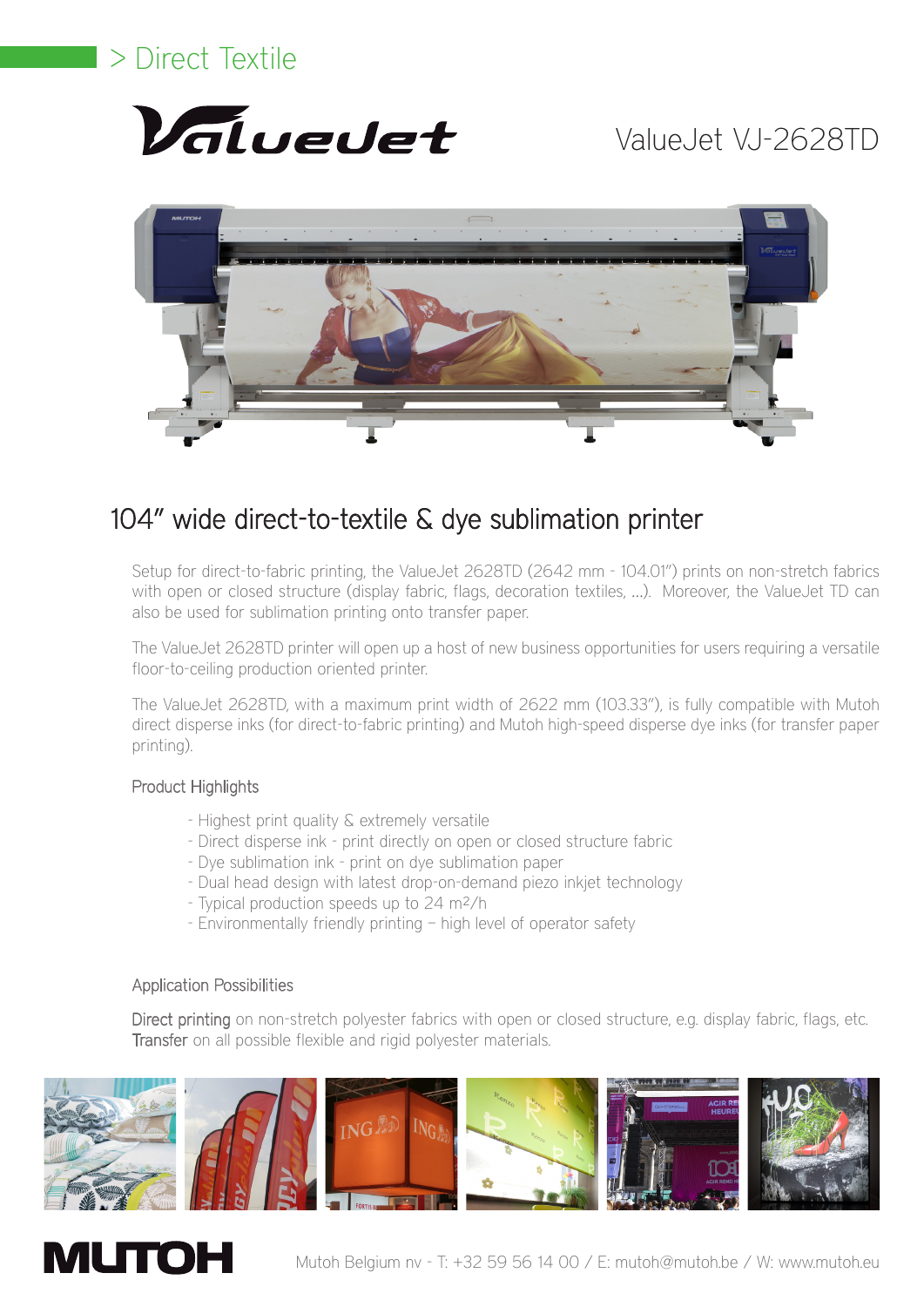# > Direct Textile



# ValueJet VJ-2628TD



### 104" wide direct-to-textile & dye sublimation printer

Setup for direct-to-fabric printing, the ValueJet 2628TD (2642 mm - 104.01") prints on non-stretch fabrics with open or closed structure (display fabric, flags, decoration textiles, ...). Moreover, the ValueJet TD can also be used for sublimation printing onto transfer paper.

The ValueJet 2628TD printer will open up a host of new business opportunities for users requiring a versatile floor-to-ceiling production oriented printer.

The ValueJet 2628TD, with a maximum print width of 2622 mm (103.33"), is fully compatible with Mutoh direct disperse inks (for direct-to-fabric printing) and Mutoh high-speed disperse dye inks (for transfer paper printing).

### Product Highlights

- Highest print quality & extremely versatile
- Direct disperse ink print directly on open or closed structure fabric
- Dye sublimation ink print on dye sublimation paper
- Dual head design with latest drop-on-demand piezo inkjet technology
- Typical production speeds up to 24 m²/h
- Environmentally friendly printing high level of operator safety

### Application Possibilities

Direct printing on non-stretch polyester fabrics with open or closed structure, e.g. display fabric, flags, etc. Transfer on all possible flexible and rigid polyester materials.